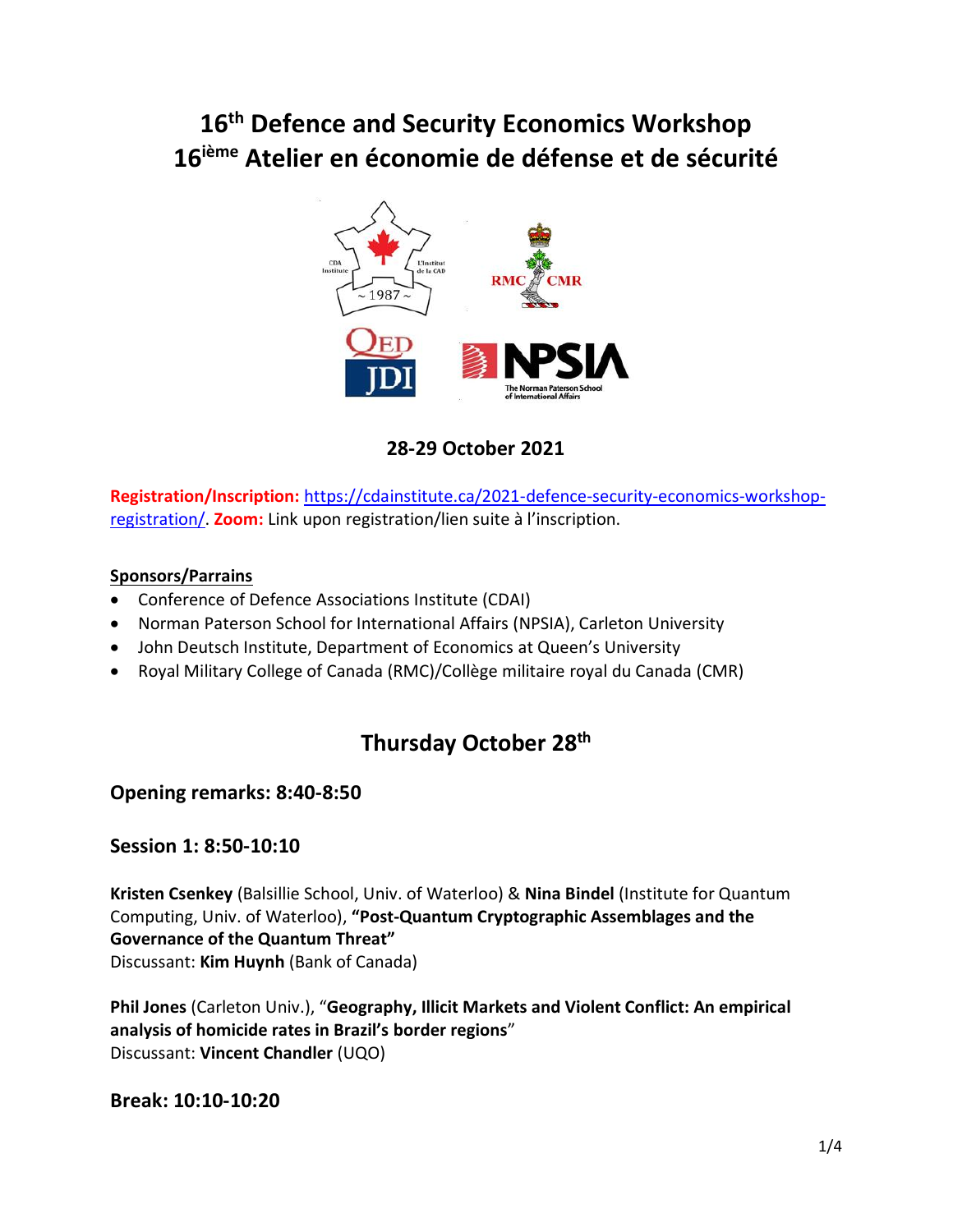# **16 th Defence and Security Economics Workshop 16 ième Atelier en économie de défense et de sécurité**



## **28-29 October 2021**

**Registration/Inscription:** [https://cdainstitute.ca/2021-defence-security-economics-workshop](https://can01.safelinks.protection.outlook.com/?url=https%3A%2F%2Fcdainstitute.ca%2F2021-defence-security-economics-workshop-registration%2F&data=04%7C01%7Cugurhan.berkok%40queensu.ca%7C64ff1d85aaa44401dae908d987729f0b%7Cd61ecb3b38b142d582c4efb2838b925c%7C1%7C0%7C637689748640389914%7CUnknown%7CTWFpbGZsb3d8eyJWIjoiMC4wLjAwMDAiLCJQIjoiV2luMzIiLCJBTiI6Ik1haWwiLCJXVCI6Mn0%3D%7C1000&sdata=CrUzjF0TqHTcn%2FKJePjWXdtpMGnMKRwVkJaXEP8wbZg%3D&reserved=0)[registration/.](https://can01.safelinks.protection.outlook.com/?url=https%3A%2F%2Fcdainstitute.ca%2F2021-defence-security-economics-workshop-registration%2F&data=04%7C01%7Cugurhan.berkok%40queensu.ca%7C64ff1d85aaa44401dae908d987729f0b%7Cd61ecb3b38b142d582c4efb2838b925c%7C1%7C0%7C637689748640389914%7CUnknown%7CTWFpbGZsb3d8eyJWIjoiMC4wLjAwMDAiLCJQIjoiV2luMzIiLCJBTiI6Ik1haWwiLCJXVCI6Mn0%3D%7C1000&sdata=CrUzjF0TqHTcn%2FKJePjWXdtpMGnMKRwVkJaXEP8wbZg%3D&reserved=0) **Zoom:** Link upon registration/lien suite à l'inscription.

#### **Sponsors/Parrains**

- Conference of Defence Associations Institute (CDAI)
- Norman Paterson School for International Affairs (NPSIA), Carleton University
- John Deutsch Institute, Department of Economics at Queen's University
- Royal Military College of Canada (RMC)/Collège militaire royal du Canada (CMR)

## **Thursday October 28 th**

## **Opening remarks: 8:40-8:50**

#### **Session 1: 8:50-10:10**

**Kristen Csenkey** (Balsillie School, Univ. of Waterloo) & **Nina Bindel** (Institute for Quantum Computing, Univ. of Waterloo), **"Post-Quantum Cryptographic Assemblages and the Governance of the Quantum Threat"** Discussant: **Kim Huynh** (Bank of Canada)

**Phil Jones** (Carleton Univ.), "**Geography, Illicit Markets and Violent Conflict: An empirical analysis of homicide rates in Brazil's border regions**" Discussant: **Vincent Chandler** (UQO)

#### **Break: 10:10-10:20**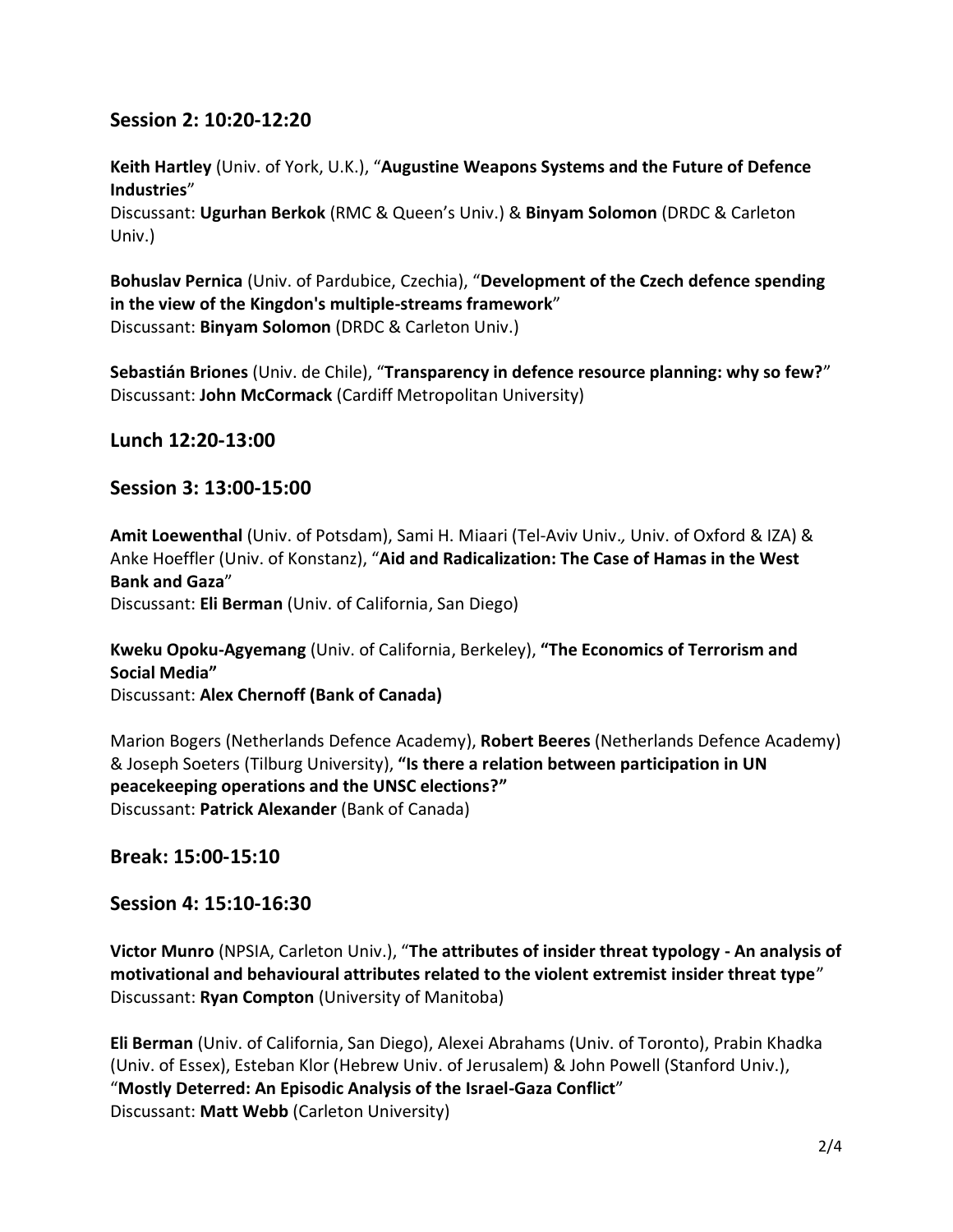### **Session 2: 10:20-12:20**

**Keith Hartley** (Univ. of York, U.K.), "**Augustine Weapons Systems and the Future of Defence Industries**"

Discussant: **Ugurhan Berkok** (RMC & Queen's Univ.) & **Binyam Solomon** (DRDC & Carleton Univ.)

**Bohuslav Pernica** (Univ. of Pardubice, Czechia), "**Development of the Czech defence spending in the view of the Kingdon's multiple-streams framework**" Discussant: **Binyam Solomon** (DRDC & Carleton Univ.)

**Sebastián Briones** (Univ. de Chile), "**Transparency in defence resource planning: why so few?**" Discussant: **John McCormack** (Cardiff Metropolitan University)

**Lunch 12:20-13:00**

### **Session 3: 13:00-15:00**

**Amit Loewenthal** (Univ. of Potsdam), Sami H. Miaari (Tel-Aviv Univ.*,* Univ. of Oxford & IZA) & Anke Hoeffler (Univ. of Konstanz), "**Aid and Radicalization: The Case of Hamas in the West Bank and Gaza**"

Discussant: **Eli Berman** (Univ. of California, San Diego)

**Kweku Opoku-Agyemang** (Univ. of California, Berkeley), **"The Economics of Terrorism and Social Media"** Discussant: **Alex Chernoff (Bank of Canada)**

Marion Bogers (Netherlands Defence Academy), **Robert Beeres** (Netherlands Defence Academy) & Joseph Soeters (Tilburg University), **"Is there a relation between participation in UN peacekeeping operations and the UNSC elections?"** Discussant: **Patrick Alexander** (Bank of Canada)

**Break: 15:00-15:10**

## **Session 4: 15:10-16:30**

**Victor Munro** (NPSIA, Carleton Univ.), "**The attributes of insider threat typology - An analysis of motivational and behavioural attributes related to the violent extremist insider threat type**" Discussant: **Ryan Compton** (University of Manitoba)

**Eli Berman** (Univ. of California, San Diego), Alexei Abrahams (Univ. of Toronto), Prabin Khadka (Univ. of Essex), Esteban Klor (Hebrew Univ. of Jerusalem) & John Powell (Stanford Univ.), "**Mostly Deterred: An Episodic Analysis of the Israel-Gaza Conflict**" Discussant: **Matt Webb** (Carleton University)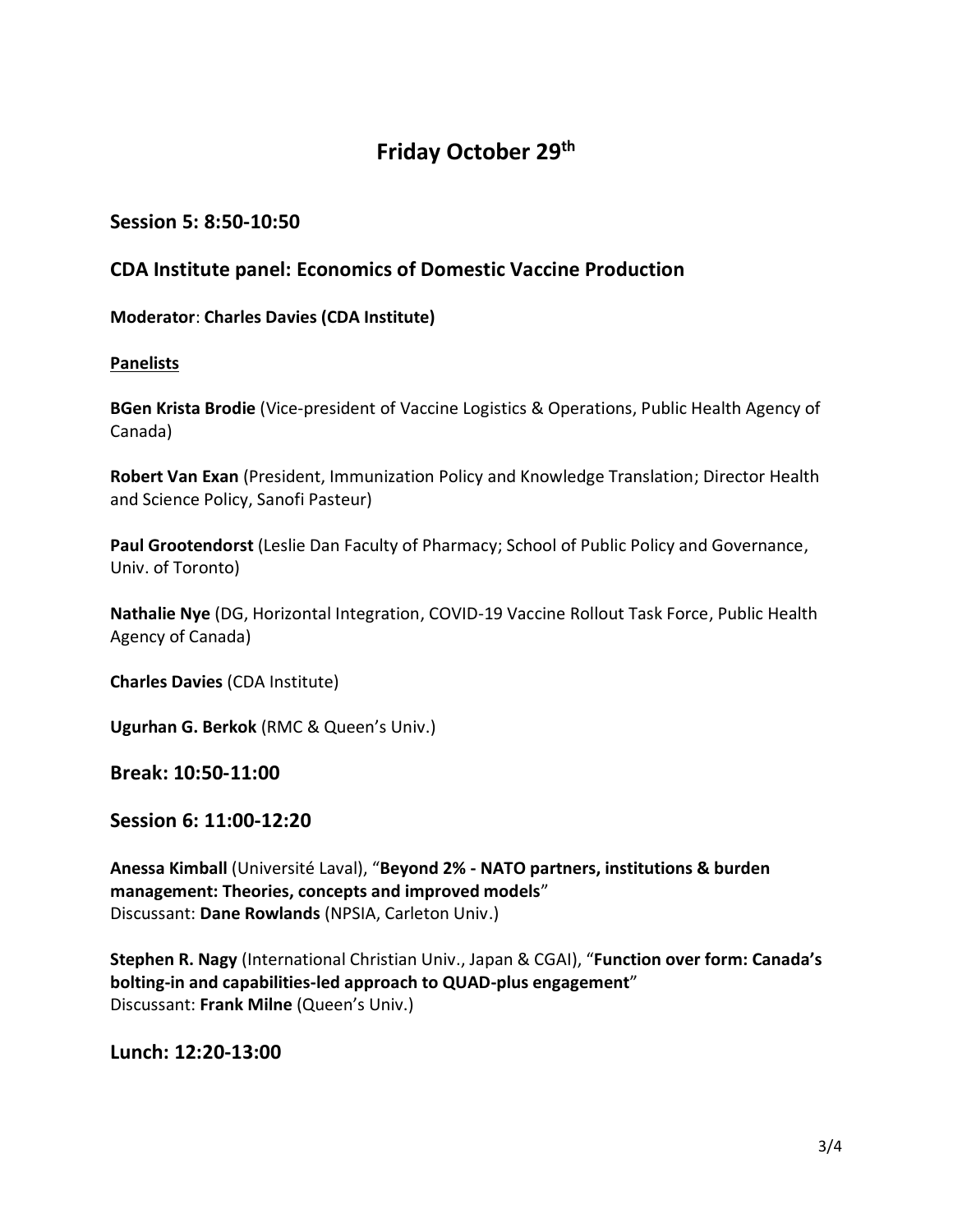## **Friday October 29 th**

## **Session 5: 8:50-10:50**

## **CDA Institute panel: Economics of Domestic Vaccine Production**

#### **Moderator**: **Charles Davies (CDA Institute)**

#### **Panelists**

**BGen Krista Brodie** (Vice-president of Vaccine Logistics & Operations, Public Health Agency of Canada)

**Robert Van Exan** (President, Immunization Policy and Knowledge Translation; Director Health and Science Policy, Sanofi Pasteur)

**Paul Grootendorst** (Leslie Dan [Faculty of Pharmacy;](http://www.pharmacy.utoronto.ca/) [School of Public Policy and Governance,](http://www.publicpolicy.utoronto.ca/) Univ. of Toronto)

**Nathalie Nye** (DG, Horizontal Integration, COVID-19 Vaccine Rollout Task Force, Public Health Agency of Canada)

**Charles Davies** (CDA Institute)

**Ugurhan G. Berkok** (RMC & Queen's Univ.)

**Break: 10:50-11:00**

#### **Session 6: 11:00-12:20**

**Anessa Kimball** (Université Laval), "**Beyond 2% - NATO partners, institutions & burden management: Theories, concepts and improved models**" Discussant: **Dane Rowlands** (NPSIA, Carleton Univ.)

**Stephen R. Nagy** (International Christian Univ., Japan & CGAI), "**Function over form: Canada's bolting-in and capabilities-led approach to QUAD-plus engagement**" Discussant: **Frank Milne** (Queen's Univ.)

**Lunch: 12:20-13:00**